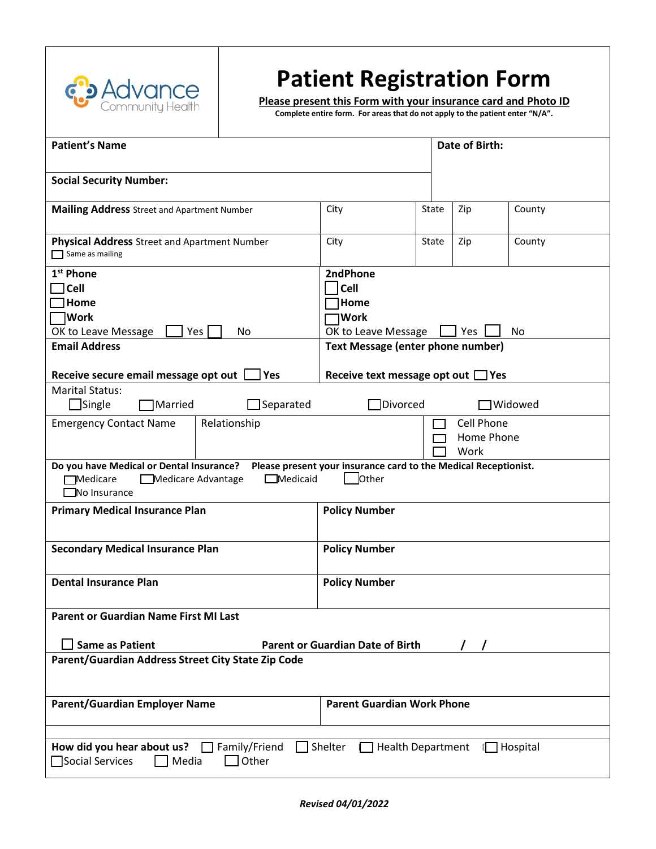

# **Patient Registration Form**

**Please present this Form with your insurance card and Photo ID** 

**Complete entire form. For areas that do not apply to the patient enter "N/A".**

| <b>Patient's Name</b>                                                                                                                                                                            | Date of Birth:                                                                      |       |     |        |  |
|--------------------------------------------------------------------------------------------------------------------------------------------------------------------------------------------------|-------------------------------------------------------------------------------------|-------|-----|--------|--|
| <b>Social Security Number:</b>                                                                                                                                                                   |                                                                                     |       |     |        |  |
| <b>Mailing Address</b> Street and Apartment Number                                                                                                                                               | City                                                                                | State | Zip | County |  |
| <b>Physical Address</b> Street and Apartment Number<br>Same as mailing                                                                                                                           | City                                                                                | State | Zip | County |  |
| 1 <sup>st</sup> Phone<br><b>Cell</b><br>Home<br>∣Work<br>OK to Leave Message<br>Yes<br>No<br><b>Email Address</b>                                                                                | 2ndPhone<br><b>Cell</b><br>Home <br><b>Work</b><br>OK to Leave Message<br>No<br>Yes |       |     |        |  |
|                                                                                                                                                                                                  | Text Message (enter phone number)                                                   |       |     |        |  |
| Receive secure email message opt out<br>Yes                                                                                                                                                      | Receive text message opt out $\Box$ Yes                                             |       |     |        |  |
| <b>Marital Status:</b><br>$\Box$ Separated<br>Divorced<br>$\Box$ Single<br><b>]Widowed</b><br>Married                                                                                            |                                                                                     |       |     |        |  |
| <b>Emergency Contact Name</b><br>Relationship                                                                                                                                                    | <b>Cell Phone</b><br>Home Phone<br>Work                                             |       |     |        |  |
| Do you have Medical or Dental Insurance?<br>Please present your insurance card to the Medical Receptionist.<br>$\Box$ Medicaid<br>Other<br><b>Medicare</b><br>Medicare Advantage<br>No Insurance |                                                                                     |       |     |        |  |
| <b>Primary Medical Insurance Plan</b>                                                                                                                                                            | <b>Policy Number</b>                                                                |       |     |        |  |
| <b>Secondary Medical Insurance Plan</b>                                                                                                                                                          | <b>Policy Number</b>                                                                |       |     |        |  |
| <b>Dental Insurance Plan</b>                                                                                                                                                                     | <b>Policy Number</b>                                                                |       |     |        |  |
| Parent or Guardian Name First MI Last<br><b>Parent or Guardian Date of Birth</b><br><b>Same as Patient</b>                                                                                       |                                                                                     |       |     |        |  |
| Parent/Guardian Address Street City State Zip Code                                                                                                                                               |                                                                                     |       |     |        |  |
| <b>Parent/Guardian Employer Name</b>                                                                                                                                                             | <b>Parent Guardian Work Phone</b>                                                   |       |     |        |  |
|                                                                                                                                                                                                  |                                                                                     |       |     |        |  |
| How did you hear about us?<br>Family/Friend<br>] Shelter<br><b>Health Department</b><br><b>□ Hospital</b><br>Social Services<br>Other<br>Media                                                   |                                                                                     |       |     |        |  |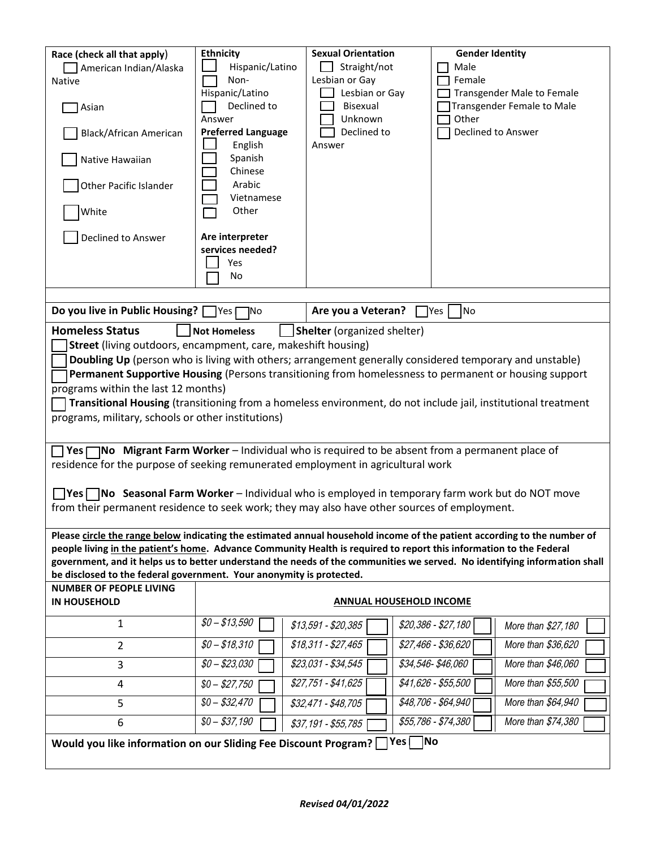| Race (check all that apply)<br>American Indian/Alaska<br><b>Native</b><br>Asian<br><b>Black/African American</b><br>Native Hawaiian<br>Other Pacific Islander<br>White<br>Declined to Answer                                                                                                                                                                                                                                                                                                                                                                                                                                                                                                                                                                                                                                                                                                                                                                                                      | <b>Ethnicity</b><br>Hispanic/Latino<br>Non-<br>Hispanic/Latino<br>Declined to<br>Answer<br><b>Preferred Language</b><br>English<br>Spanish<br>Chinese<br>Arabic<br>Vietnamese<br>Other<br>Are interpreter<br>services needed?<br>Yes<br>No | <b>Sexual Orientation</b><br>Straight/not<br>Lesbian or Gay<br>Lesbian or Gay<br>Bisexual<br>Unknown<br>Declined to<br>Answer | <b>Gender Identity</b><br>Male<br>Female<br>Transgender Male to Female<br>Transgender Female to Male<br>Other<br>Declined to Answer                                                                                                              |  |  |  |
|---------------------------------------------------------------------------------------------------------------------------------------------------------------------------------------------------------------------------------------------------------------------------------------------------------------------------------------------------------------------------------------------------------------------------------------------------------------------------------------------------------------------------------------------------------------------------------------------------------------------------------------------------------------------------------------------------------------------------------------------------------------------------------------------------------------------------------------------------------------------------------------------------------------------------------------------------------------------------------------------------|--------------------------------------------------------------------------------------------------------------------------------------------------------------------------------------------------------------------------------------------|-------------------------------------------------------------------------------------------------------------------------------|--------------------------------------------------------------------------------------------------------------------------------------------------------------------------------------------------------------------------------------------------|--|--|--|
|                                                                                                                                                                                                                                                                                                                                                                                                                                                                                                                                                                                                                                                                                                                                                                                                                                                                                                                                                                                                   |                                                                                                                                                                                                                                            |                                                                                                                               |                                                                                                                                                                                                                                                  |  |  |  |
| Do you live in Public Housing?                                                                                                                                                                                                                                                                                                                                                                                                                                                                                                                                                                                                                                                                                                                                                                                                                                                                                                                                                                    | 1No<br> Yes                                                                                                                                                                                                                                | Are you a Veteran?                                                                                                            | lYes<br> No                                                                                                                                                                                                                                      |  |  |  |
| <b>Homeless Status</b><br><b>Shelter</b> (organized shelter)<br><b>Not Homeless</b><br>Street (living outdoors, encampment, care, makeshift housing)<br>Doubling Up (person who is living with others; arrangement generally considered temporary and unstable)<br>Permanent Supportive Housing (Persons transitioning from homelessness to permanent or housing support<br>programs within the last 12 months)<br>Transitional Housing (transitioning from a homeless environment, do not include jail, institutional treatment<br>programs, military, schools or other institutions)<br>Yes $\Box$ No Migrant Farm Worker – Individual who is required to be absent from a permanent place of<br>residence for the purpose of seeking remunerated employment in agricultural work<br><b>Preset TNo Seasonal Farm Worker</b> – Individual who is employed in temporary farm work but do NOT move<br>from their permanent residence to seek work; they may also have other sources of employment. |                                                                                                                                                                                                                                            |                                                                                                                               |                                                                                                                                                                                                                                                  |  |  |  |
|                                                                                                                                                                                                                                                                                                                                                                                                                                                                                                                                                                                                                                                                                                                                                                                                                                                                                                                                                                                                   |                                                                                                                                                                                                                                            |                                                                                                                               | Please circle the range below indicating the estimated annual household income of the patient according to the number of                                                                                                                         |  |  |  |
|                                                                                                                                                                                                                                                                                                                                                                                                                                                                                                                                                                                                                                                                                                                                                                                                                                                                                                                                                                                                   |                                                                                                                                                                                                                                            |                                                                                                                               | people living in the patient's home. Advance Community Health is required to report this information to the Federal<br>government, and it helps us to better understand the needs of the communities we served. No identifying information shall |  |  |  |
| be disclosed to the federal government. Your anonymity is protected.                                                                                                                                                                                                                                                                                                                                                                                                                                                                                                                                                                                                                                                                                                                                                                                                                                                                                                                              |                                                                                                                                                                                                                                            |                                                                                                                               |                                                                                                                                                                                                                                                  |  |  |  |
| <b>NUMBER OF PEOPLE LIVING</b><br><b>IN HOUSEHOLD</b>                                                                                                                                                                                                                                                                                                                                                                                                                                                                                                                                                                                                                                                                                                                                                                                                                                                                                                                                             | <b>ANNUAL HOUSEHOLD INCOME</b>                                                                                                                                                                                                             |                                                                                                                               |                                                                                                                                                                                                                                                  |  |  |  |
| 1                                                                                                                                                                                                                                                                                                                                                                                                                                                                                                                                                                                                                                                                                                                                                                                                                                                                                                                                                                                                 | $$0 - $13,590$                                                                                                                                                                                                                             | $$13,591 - $20,385$                                                                                                           | \$20,386 - \$27,180<br>More than \$27,180                                                                                                                                                                                                        |  |  |  |
| $\overline{2}$                                                                                                                                                                                                                                                                                                                                                                                                                                                                                                                                                                                                                                                                                                                                                                                                                                                                                                                                                                                    | $$0 - $18,310$                                                                                                                                                                                                                             | $$18,311 - $27,465$                                                                                                           | \$27,466 - \$36,620<br>More than \$36,620                                                                                                                                                                                                        |  |  |  |
| 3                                                                                                                                                                                                                                                                                                                                                                                                                                                                                                                                                                                                                                                                                                                                                                                                                                                                                                                                                                                                 | $$0 - $23,030$                                                                                                                                                                                                                             | \$23,031 - \$34,545                                                                                                           | \$34,546-\$46,060<br>More than \$46,060                                                                                                                                                                                                          |  |  |  |
| 4                                                                                                                                                                                                                                                                                                                                                                                                                                                                                                                                                                                                                                                                                                                                                                                                                                                                                                                                                                                                 | $$0 - $27,750$                                                                                                                                                                                                                             | \$27,751 - \$41,625                                                                                                           | \$41,626 - \$55,500<br>More than \$55,500                                                                                                                                                                                                        |  |  |  |
| 5                                                                                                                                                                                                                                                                                                                                                                                                                                                                                                                                                                                                                                                                                                                                                                                                                                                                                                                                                                                                 | $$0 - $32,470$                                                                                                                                                                                                                             | \$32,471 - \$48,705                                                                                                           | More than \$64,940<br>\$48,706 - \$64,940                                                                                                                                                                                                        |  |  |  |
| 6                                                                                                                                                                                                                                                                                                                                                                                                                                                                                                                                                                                                                                                                                                                                                                                                                                                                                                                                                                                                 | $$0 - $37,190$                                                                                                                                                                                                                             | \$37,191 - \$55,785                                                                                                           | \$55,786 - \$74,380<br>More than \$74,380                                                                                                                                                                                                        |  |  |  |
| $Yes \Box No$<br>Would you like information on our Sliding Fee Discount Program?                                                                                                                                                                                                                                                                                                                                                                                                                                                                                                                                                                                                                                                                                                                                                                                                                                                                                                                  |                                                                                                                                                                                                                                            |                                                                                                                               |                                                                                                                                                                                                                                                  |  |  |  |